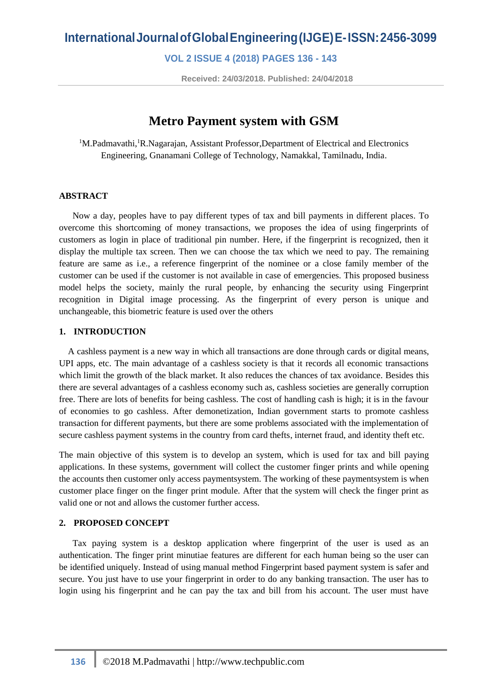**VOL 2 ISSUE 4 (2018) PAGES 136 - 143**

**Received: 24/03/2018. Published: 24/04/2018**

# **Metro Payment system with GSM**

<sup>1</sup>M.Padmavathi,<sup>1</sup>R.Nagarajan, Assistant Professor,Department of Electrical and Electronics Engineering, Gnanamani College of Technology, Namakkal, Tamilnadu, India.

# **ABSTRACT**

 Now a day, peoples have to pay different types of tax and bill payments in different places. To overcome this shortcoming of money transactions, we proposes the idea of using fingerprints of customers as login in place of traditional pin number. Here, if the fingerprint is recognized, then it display the multiple tax screen. Then we can choose the tax which we need to pay. The remaining feature are same as i.e., a reference fingerprint of the nominee or a close family member of the customer can be used if the customer is not available in case of emergencies. This proposed business model helps the society, mainly the rural people, by enhancing the security using Fingerprint recognition in Digital image processing. As the fingerprint of every person is unique and unchangeable, this biometric feature is used over the others

# **1. INTRODUCTION**

 A cashless payment is a new way in which all transactions are done through cards or digital means, UPI apps, etc. The main advantage of a cashless society is that it records all economic transactions which limit the growth of the black market. It also reduces the chances of tax avoidance. Besides this there are several advantages of a cashless economy such as, cashless societies are generally corruption free. There are lots of benefits for being cashless. The cost of handling cash is high; it is in the favour of economies to go cashless. After demonetization, Indian government starts to promote cashless transaction for different payments, but there are some problems associated with the implementation of secure cashless payment systems in the country from card thefts, internet fraud, and identity theft etc.

The main objective of this system is to develop an system, which is used for tax and bill paying applications. In these systems, government will collect the customer finger prints and while opening the accounts then customer only access paymentsystem. The working of these paymentsystem is when customer place finger on the finger print module. After that the system will check the finger print as valid one or not and allows the customer further access.

## **2. PROPOSED CONCEPT**

 Tax paying system is a desktop application where fingerprint of the user is used as an authentication. The finger print minutiae features are different for each human being so the user can be identified uniquely. Instead of using manual method Fingerprint based payment system is safer and secure. You just have to use your fingerprint in order to do any banking transaction. The user has to login using his fingerprint and he can pay the tax and bill from his account. The user must have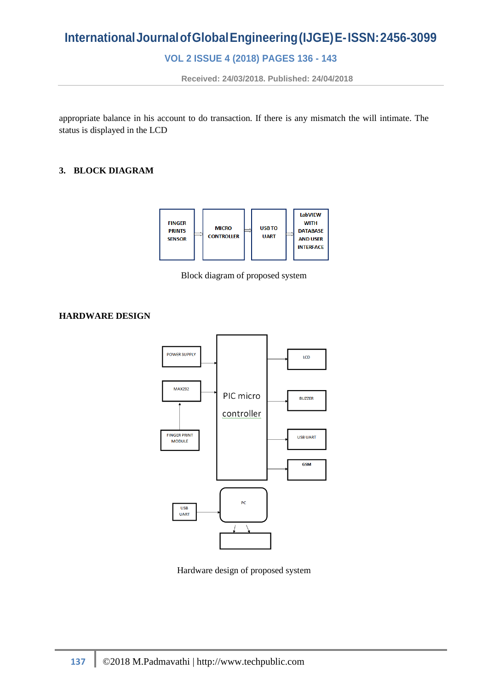# **VOL 2 ISSUE 4 (2018) PAGES 136 - 143**

**Received: 24/03/2018. Published: 24/04/2018**

appropriate balance in his account to do transaction. If there is any mismatch the will intimate. The status is displayed in the LCD

# **3. BLOCK DIAGRAM**



Block diagram of proposed system

## **HARDWARE DESIGN**



Hardware design of proposed system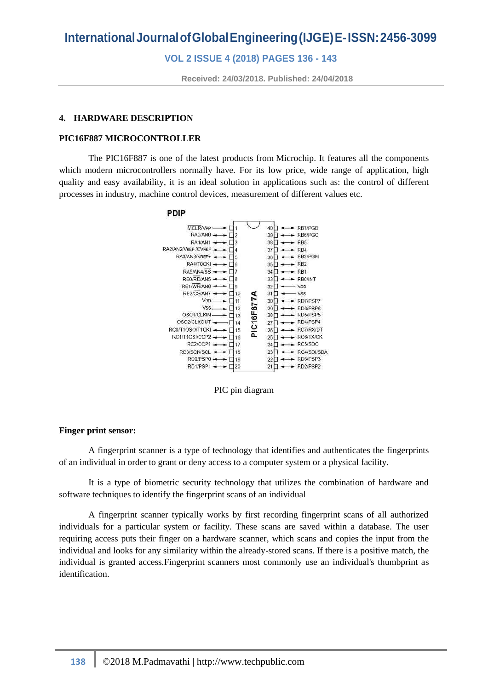**VOL 2 ISSUE 4 (2018) PAGES 136 - 143**

**Received: 24/03/2018. Published: 24/04/2018**

### **4. HARDWARE DESCRIPTION**

### **PIC16F887 MICROCONTROLLER**

The PIC16F887 is one of the latest products from Microchip. It features all the components which modern microcontrollers normally have. For its low price, wide range of application, high quality and easy availability, it is an ideal solution in applications such as: the control of different processes in industry, machine control devices, measurement of different values etc.



PIC pin diagram

## **Finger print sensor:**

A fingerprint scanner is a type of technology that identifies and authenticates the fingerprints of an individual in order to grant or deny access to a computer system or a physical facility.

It is a type of biometric security technology that utilizes the combination of hardware and software techniques to identify the fingerprint scans of an individual

A fingerprint scanner typically works by first recording fingerprint scans of all authorized individuals for a particular system or facility. These scans are saved within a database. The user requiring access puts their finger on a hardware scanner, which scans and copies the input from the individual and looks for any similarity within the already-stored scans. If there is a positive match, the individual is granted access.Fingerprint scanners most commonly use an individual's thumbprint as identification.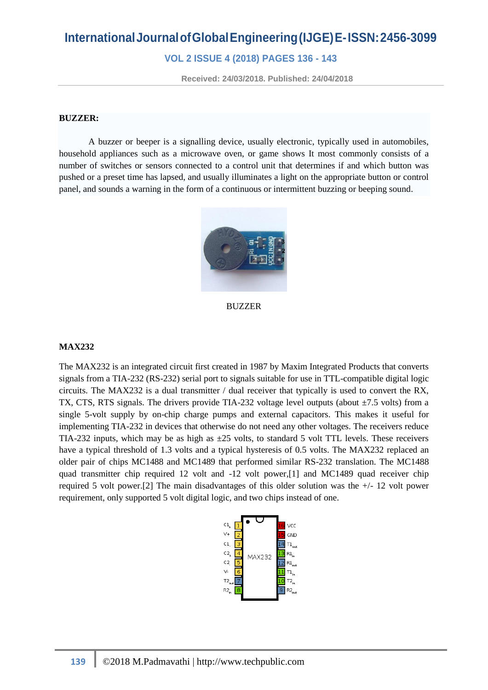**VOL 2 ISSUE 4 (2018) PAGES 136 - 143**

**Received: 24/03/2018. Published: 24/04/2018**

# **BUZZER:**

A buzzer or beeper is a signalling device, usually electronic, typically used in automobiles, household appliances such as a microwave oven, or game shows It most commonly consists of a number of switches or sensors connected to a control unit that determines if and which button was pushed or a preset time has lapsed, and usually illuminates a light on the appropriate button or control panel, and sounds a warning in the form of a continuous or intermittent buzzing or beeping sound.



**BUZZER** 

#### **MAX232**

The MAX232 is an integrated circuit first created in 1987 by Maxim Integrated Products that converts signals from a TIA-232 (RS-232) serial port to signals suitable for use in TTL-compatible digital logic circuits. The MAX232 is a dual transmitter / dual receiver that typically is used to convert the RX, TX, CTS, RTS signals. The drivers provide TIA-232 voltage level outputs (about ±7.5 volts) from a single 5-volt supply by on-chip charge pumps and external capacitors. This makes it useful for implementing TIA-232 in devices that otherwise do not need any other voltages. The receivers reduce TIA-232 inputs, which may be as high as  $\pm 25$  volts, to standard 5 volt TTL levels. These receivers have a typical threshold of 1.3 volts and a typical hysteresis of 0.5 volts. The MAX232 replaced an older pair of chips MC1488 and MC1489 that performed similar RS-232 translation. The MC1488 quad transmitter chip required 12 volt and -12 volt power,[1] and MC1489 quad receiver chip required 5 volt power.[2] The main disadvantages of this older solution was the +/- 12 volt power requirement, only supported 5 volt digital logic, and two chips instead of one.

| Cl_            |        | VCC          |
|----------------|--------|--------------|
| $V +$          |        | GND          |
| C1             |        |              |
| $C2_+$         | MAX232 | R1           |
| C2             |        | R1<br>out    |
| V-             |        |              |
| T <sub>2</sub> |        | $2_{\rm in}$ |
| $R2_{n}$       |        | ,<br>ut      |
|                |        |              |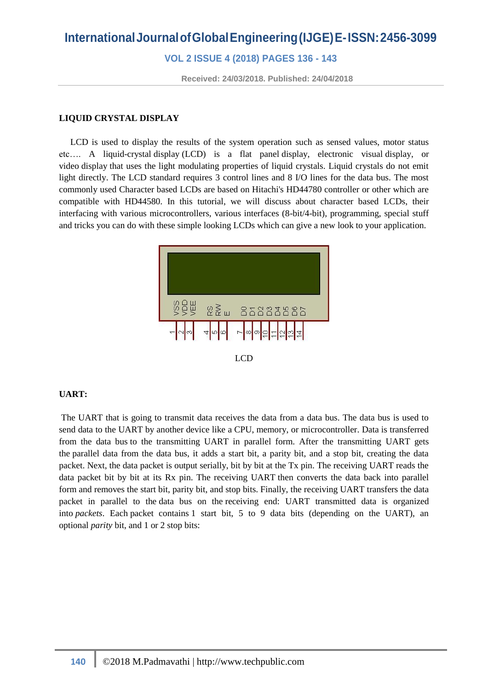**VOL 2 ISSUE 4 (2018) PAGES 136 - 143**

**Received: 24/03/2018. Published: 24/04/2018**

# **LIQUID CRYSTAL DISPLAY**

 LCD is used to display the results of the system operation such as sensed values, motor status etc…. A liquid-crystal display (LCD) is a flat panel display, electronic visual display, or video display that uses the light modulating properties of liquid crystals. Liquid crystals do not emit light directly. The LCD standard requires 3 control lines and 8 I/O lines for the data bus. The most commonly used Character based LCDs are based on Hitachi's HD44780 controller or other which are compatible with HD44580. In this tutorial, we will discuss about character based LCDs, their interfacing with various microcontrollers, various interfaces (8-bit/4-bit), programming, special stuff and tricks you can do with these simple looking LCDs which can give a new look to your application.



LCD

## **UART:**

The UART that is going to transmit data receives the data from a data bus. The data bus is used to send data to the UART by another device like a CPU, memory, or microcontroller. Data is transferred from the data bus to the transmitting UART in parallel form. After the transmitting UART gets the parallel data from the data bus, it adds a start bit, a parity bit, and a stop bit, creating the data packet. Next, the data packet is output serially, bit by bit at the Tx pin. The receiving UART reads the data packet bit by bit at its Rx pin. The receiving UART then converts the data back into parallel form and removes the start bit, parity bit, and stop bits. Finally, the receiving UART transfers the data packet in parallel to the data bus on the receiving end: UART transmitted data is organized into *packets*. Each packet contains 1 start bit, 5 to 9 data bits (depending on the UART), an optional *parity* bit, and 1 or 2 stop bits: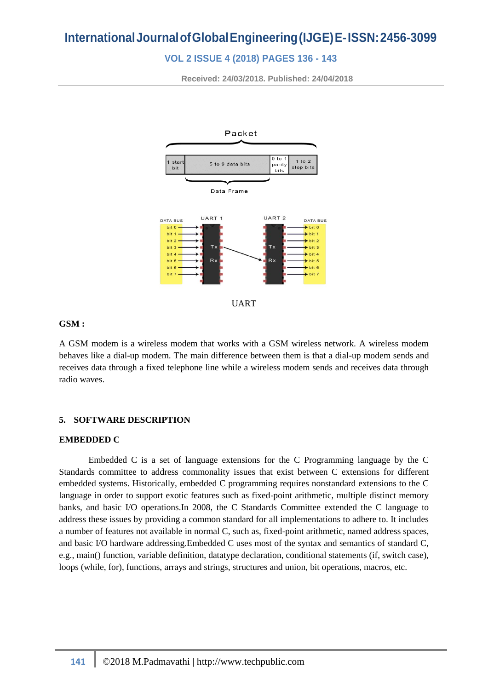# **VOL 2 ISSUE 4 (2018) PAGES 136 - 143**

**Received: 24/03/2018. Published: 24/04/2018**





#### **GSM :**

A GSM modem is a wireless modem that works with a GSM wireless network. A wireless modem behaves like a dial-up modem. The main difference between them is that a dial-up modem sends and receives data through a fixed telephone line while a wireless modem sends and receives data through radio waves.

# **5. SOFTWARE DESCRIPTION**

#### **EMBEDDED C**

Embedded C is a set of language extensions for the C Programming language by the C Standards committee to address commonality issues that exist between C extensions for different embedded systems. Historically, embedded C programming requires nonstandard extensions to the C language in order to support exotic features such as fixed-point arithmetic, multiple distinct memory banks, and basic I/O operations.In 2008, the C Standards Committee extended the C language to address these issues by providing a common standard for all implementations to adhere to. It includes a number of features not available in normal C, such as, fixed-point arithmetic, named address spaces, and basic I/O hardware addressing.Embedded C uses most of the syntax and semantics of standard C, e.g., main() function, variable definition, datatype declaration, conditional statements (if, switch case), loops (while, for), functions, arrays and strings, structures and union, bit operations, macros, etc.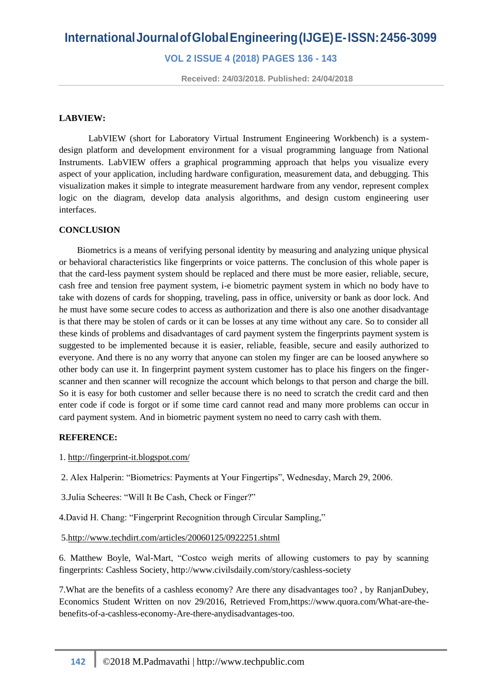# **VOL 2 ISSUE 4 (2018) PAGES 136 - 143**

**Received: 24/03/2018. Published: 24/04/2018**

## **LABVIEW:**

LabVIEW (short for Laboratory Virtual Instrument Engineering Workbench) is a systemdesign platform and development environment for a visual programming language from National Instruments. LabVIEW offers a graphical programming approach that helps you visualize every aspect of your application, including hardware configuration, measurement data, and debugging. This visualization makes it simple to integrate measurement hardware from any vendor, represent complex logic on the diagram, develop data analysis algorithms, and design custom engineering user interfaces.

## **CONCLUSION**

 Biometrics is a means of verifying personal identity by measuring and analyzing unique physical or behavioral characteristics like fingerprints or voice patterns. The conclusion of this whole paper is that the card-less payment system should be replaced and there must be more easier, reliable, secure, cash free and tension free payment system, i-e biometric payment system in which no body have to take with dozens of cards for shopping, traveling, pass in office, university or bank as door lock. And he must have some secure codes to access as authorization and there is also one another disadvantage is that there may be stolen of cards or it can be losses at any time without any care. So to consider all these kinds of problems and disadvantages of card payment system the fingerprints payment system is suggested to be implemented because it is easier, reliable, feasible, secure and easily authorized to everyone. And there is no any worry that anyone can stolen my finger are can be loosed anywhere so other body can use it. In fingerprint payment system customer has to place his fingers on the fingerscanner and then scanner will recognize the account which belongs to that person and charge the bill. So it is easy for both customer and seller because there is no need to scratch the credit card and then enter code if code is forgot or if some time card cannot read and many more problems can occur in card payment system. And in biometric payment system no need to carry cash with them.

### **REFERENCE:**

1.<http://fingerprint-it.blogspot.com/>

2. Alex Halperin: "Biometrics: Payments at Your Fingertips", Wednesday, March 29, 2006.

3.Julia Scheeres: "Will It Be Cash, Check or Finger?"

4.David H. Chang: "Fingerprint Recognition through Circular Sampling,"

## 5[.http://www.techdirt.com/articles/20060125/0922251.shtml](http://www.techdirt.com/articles/20060125/0922251.shtml)

6. Matthew Boyle, Wal-Mart, "Costco weigh merits of allowing customers to pay by scanning fingerprints: Cashless Society, http://www.civilsdaily.com/story/cashless-society

7.What are the benefits of a cashless economy? Are there any disadvantages too? , by RanjanDubey, Economics Student Written on nov 29/2016, Retrieved From,https://www.quora.com/What-are-thebenefits-of-a-cashless-economy-Are-there-anydisadvantages-too.